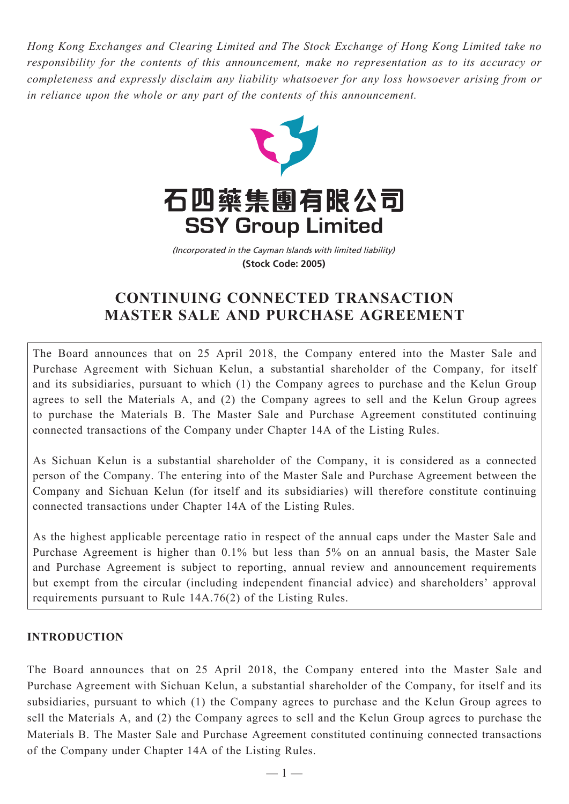*Hong Kong Exchanges and Clearing Limited and The Stock Exchange of Hong Kong Limited take no responsibility for the contents of this announcement, make no representation as to its accuracy or completeness and expressly disclaim any liability whatsoever for any loss howsoever arising from or in reliance upon the whole or any part of the contents of this announcement.*



(Incorporated in the Cayman Islands with limited liability) **(Stock Code: 2005)**

# **CONTINUING CONNECTED TRANSACTION MASTER SALE AND PURCHASE AGREEMENT**

The Board announces that on 25 April 2018, the Company entered into the Master Sale and Purchase Agreement with Sichuan Kelun, a substantial shareholder of the Company, for itself and its subsidiaries, pursuant to which (1) the Company agrees to purchase and the Kelun Group agrees to sell the Materials A, and (2) the Company agrees to sell and the Kelun Group agrees to purchase the Materials B. The Master Sale and Purchase Agreement constituted continuing connected transactions of the Company under Chapter 14A of the Listing Rules.

As Sichuan Kelun is a substantial shareholder of the Company, it is considered as a connected person of the Company. The entering into of the Master Sale and Purchase Agreement between the Company and Sichuan Kelun (for itself and its subsidiaries) will therefore constitute continuing connected transactions under Chapter 14A of the Listing Rules.

As the highest applicable percentage ratio in respect of the annual caps under the Master Sale and Purchase Agreement is higher than 0.1% but less than 5% on an annual basis, the Master Sale and Purchase Agreement is subject to reporting, annual review and announcement requirements but exempt from the circular (including independent financial advice) and shareholders' approval requirements pursuant to Rule 14A.76(2) of the Listing Rules.

## **INTRODUCTION**

The Board announces that on 25 April 2018, the Company entered into the Master Sale and Purchase Agreement with Sichuan Kelun, a substantial shareholder of the Company, for itself and its subsidiaries, pursuant to which (1) the Company agrees to purchase and the Kelun Group agrees to sell the Materials A, and (2) the Company agrees to sell and the Kelun Group agrees to purchase the Materials B. The Master Sale and Purchase Agreement constituted continuing connected transactions of the Company under Chapter 14A of the Listing Rules.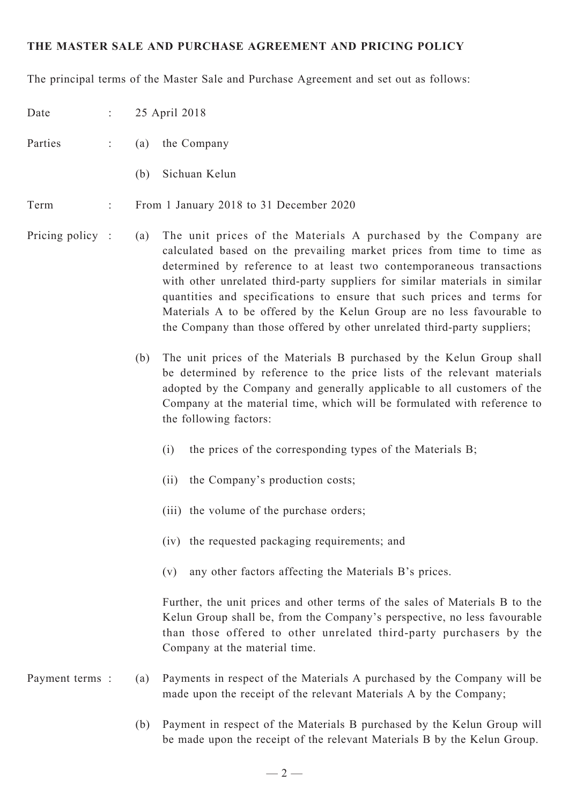### **THE MASTER SALE AND PURCHASE AGREEMENT AND PRICING POLICY**

The principal terms of the Master Sale and Purchase Agreement and set out as follows:

| Date             | $\frac{1}{2}$ . |     | 25 April 2018                                                                                                                                                                                                                                                                                                                                                                                                                                                                                                                   |
|------------------|-----------------|-----|---------------------------------------------------------------------------------------------------------------------------------------------------------------------------------------------------------------------------------------------------------------------------------------------------------------------------------------------------------------------------------------------------------------------------------------------------------------------------------------------------------------------------------|
| Parties          |                 | (a) | the Company                                                                                                                                                                                                                                                                                                                                                                                                                                                                                                                     |
|                  |                 | (b) | Sichuan Kelun                                                                                                                                                                                                                                                                                                                                                                                                                                                                                                                   |
| Term             | ÷               |     | From 1 January 2018 to 31 December 2020                                                                                                                                                                                                                                                                                                                                                                                                                                                                                         |
| Pricing policy : |                 | (a) | The unit prices of the Materials A purchased by the Company are<br>calculated based on the prevailing market prices from time to time as<br>determined by reference to at least two contemporaneous transactions<br>with other unrelated third-party suppliers for similar materials in similar<br>quantities and specifications to ensure that such prices and terms for<br>Materials A to be offered by the Kelun Group are no less favourable to<br>the Company than those offered by other unrelated third-party suppliers; |
|                  |                 | (b) | The unit prices of the Materials B purchased by the Kelun Group shall<br>be determined by reference to the price lists of the relevant materials<br>adopted by the Company and generally applicable to all customers of the<br>Company at the material time, which will be formulated with reference to<br>the following factors:                                                                                                                                                                                               |
|                  |                 |     | the prices of the corresponding types of the Materials B;<br>(i)                                                                                                                                                                                                                                                                                                                                                                                                                                                                |
|                  |                 |     | the Company's production costs;<br>(i)                                                                                                                                                                                                                                                                                                                                                                                                                                                                                          |
|                  |                 |     | (iii) the volume of the purchase orders;                                                                                                                                                                                                                                                                                                                                                                                                                                                                                        |
|                  |                 |     | (iv) the requested packaging requirements; and                                                                                                                                                                                                                                                                                                                                                                                                                                                                                  |
|                  |                 |     | any other factors affecting the Materials B's prices.<br>(v)                                                                                                                                                                                                                                                                                                                                                                                                                                                                    |
|                  |                 |     | Further, the unit prices and other terms of the sales of Materials B to the<br>Kelun Group shall be, from the Company's perspective, no less favourable<br>than those offered to other unrelated third-party purchasers by the<br>Company at the material time.                                                                                                                                                                                                                                                                 |
| Payment terms:   |                 | (a) | Payments in respect of the Materials A purchased by the Company will be<br>made upon the receipt of the relevant Materials A by the Company;                                                                                                                                                                                                                                                                                                                                                                                    |

(b) Payment in respect of the Materials B purchased by the Kelun Group will be made upon the receipt of the relevant Materials B by the Kelun Group.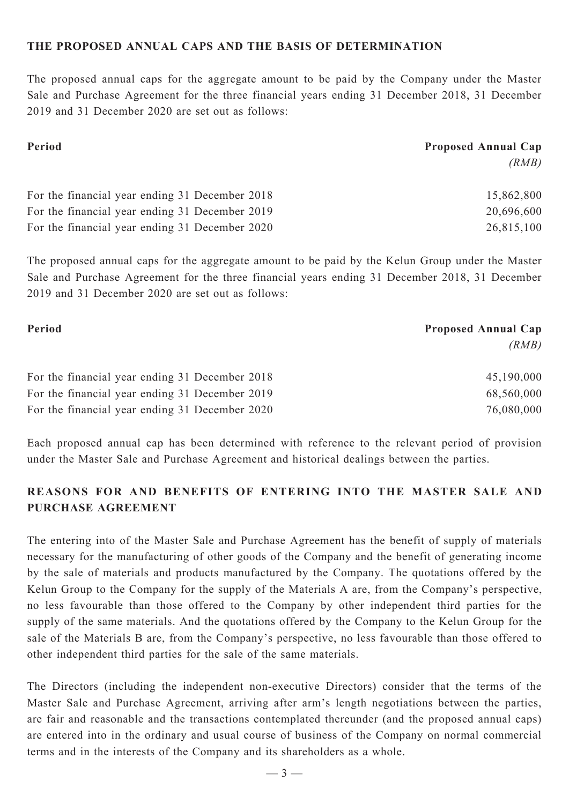#### **THE PROPOSED ANNUAL CAPS AND THE BASIS OF DETERMINATION**

The proposed annual caps for the aggregate amount to be paid by the Company under the Master Sale and Purchase Agreement for the three financial years ending 31 December 2018, 31 December 2019 and 31 December 2020 are set out as follows:

| Period                                         | <b>Proposed Annual Cap</b> |  |
|------------------------------------------------|----------------------------|--|
|                                                | (RMB)                      |  |
| For the financial year ending 31 December 2018 | 15,862,800                 |  |
| For the financial year ending 31 December 2019 | 20,696,600                 |  |
| For the financial year ending 31 December 2020 | 26,815,100                 |  |

The proposed annual caps for the aggregate amount to be paid by the Kelun Group under the Master Sale and Purchase Agreement for the three financial years ending 31 December 2018, 31 December 2019 and 31 December 2020 are set out as follows:

| Period                                         | <b>Proposed Annual Cap</b> |  |
|------------------------------------------------|----------------------------|--|
|                                                | (RMB)                      |  |
| For the financial year ending 31 December 2018 | 45,190,000                 |  |
| For the financial year ending 31 December 2019 | 68,560,000                 |  |
| For the financial year ending 31 December 2020 | 76,080,000                 |  |

Each proposed annual cap has been determined with reference to the relevant period of provision under the Master Sale and Purchase Agreement and historical dealings between the parties.

# **REASONS FOR AND BENEFITS OF ENTERING INTO THE MASTER SALE AND PURCHASE AGREEMENT**

The entering into of the Master Sale and Purchase Agreement has the benefit of supply of materials necessary for the manufacturing of other goods of the Company and the benefit of generating income by the sale of materials and products manufactured by the Company. The quotations offered by the Kelun Group to the Company for the supply of the Materials A are, from the Company's perspective, no less favourable than those offered to the Company by other independent third parties for the supply of the same materials. And the quotations offered by the Company to the Kelun Group for the sale of the Materials B are, from the Company's perspective, no less favourable than those offered to other independent third parties for the sale of the same materials.

The Directors (including the independent non-executive Directors) consider that the terms of the Master Sale and Purchase Agreement, arriving after arm's length negotiations between the parties, are fair and reasonable and the transactions contemplated thereunder (and the proposed annual caps) are entered into in the ordinary and usual course of business of the Company on normal commercial terms and in the interests of the Company and its shareholders as a whole.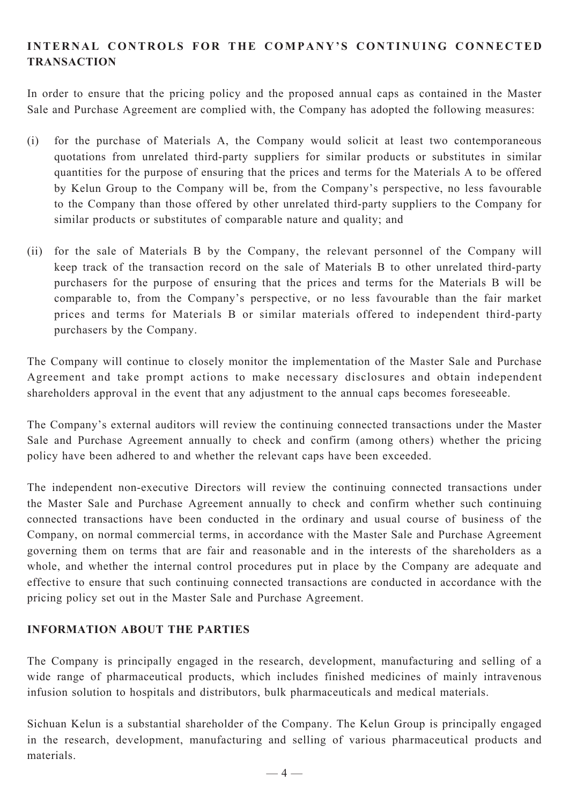# **INTERNAL CONTROLS FOR THE COMPANY'S CONTINUING CONNECTED TRANSACTION**

In order to ensure that the pricing policy and the proposed annual caps as contained in the Master Sale and Purchase Agreement are complied with, the Company has adopted the following measures:

- (i) for the purchase of Materials A, the Company would solicit at least two contemporaneous quotations from unrelated third-party suppliers for similar products or substitutes in similar quantities for the purpose of ensuring that the prices and terms for the Materials A to be offered by Kelun Group to the Company will be, from the Company's perspective, no less favourable to the Company than those offered by other unrelated third-party suppliers to the Company for similar products or substitutes of comparable nature and quality; and
- (ii) for the sale of Materials B by the Company, the relevant personnel of the Company will keep track of the transaction record on the sale of Materials B to other unrelated third-party purchasers for the purpose of ensuring that the prices and terms for the Materials B will be comparable to, from the Company's perspective, or no less favourable than the fair market prices and terms for Materials B or similar materials offered to independent third-party purchasers by the Company.

The Company will continue to closely monitor the implementation of the Master Sale and Purchase Agreement and take prompt actions to make necessary disclosures and obtain independent shareholders approval in the event that any adjustment to the annual caps becomes foreseeable.

The Company's external auditors will review the continuing connected transactions under the Master Sale and Purchase Agreement annually to check and confirm (among others) whether the pricing policy have been adhered to and whether the relevant caps have been exceeded.

The independent non-executive Directors will review the continuing connected transactions under the Master Sale and Purchase Agreement annually to check and confirm whether such continuing connected transactions have been conducted in the ordinary and usual course of business of the Company, on normal commercial terms, in accordance with the Master Sale and Purchase Agreement governing them on terms that are fair and reasonable and in the interests of the shareholders as a whole, and whether the internal control procedures put in place by the Company are adequate and effective to ensure that such continuing connected transactions are conducted in accordance with the pricing policy set out in the Master Sale and Purchase Agreement.

## **INFORMATION ABOUT THE PARTIES**

The Company is principally engaged in the research, development, manufacturing and selling of a wide range of pharmaceutical products, which includes finished medicines of mainly intravenous infusion solution to hospitals and distributors, bulk pharmaceuticals and medical materials.

Sichuan Kelun is a substantial shareholder of the Company. The Kelun Group is principally engaged in the research, development, manufacturing and selling of various pharmaceutical products and materials.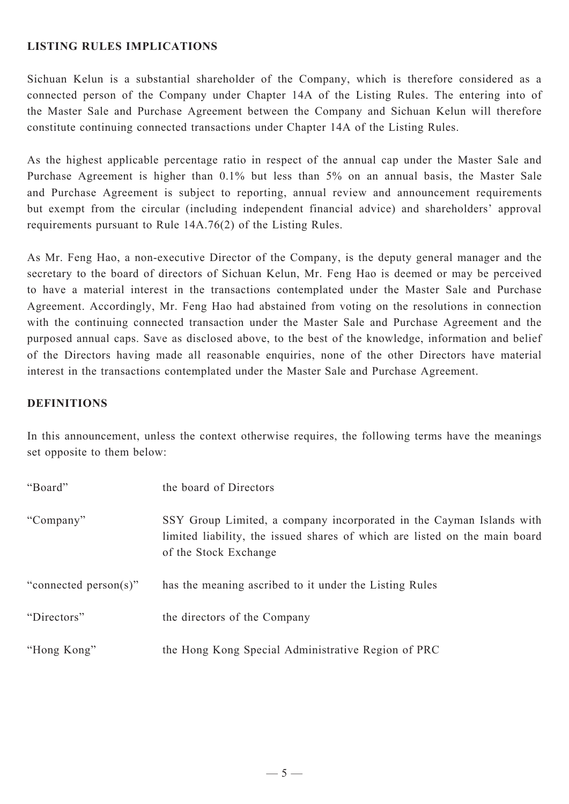### **LISTING RULES IMPLICATIONS**

Sichuan Kelun is a substantial shareholder of the Company, which is therefore considered as a connected person of the Company under Chapter 14A of the Listing Rules. The entering into of the Master Sale and Purchase Agreement between the Company and Sichuan Kelun will therefore constitute continuing connected transactions under Chapter 14A of the Listing Rules.

As the highest applicable percentage ratio in respect of the annual cap under the Master Sale and Purchase Agreement is higher than 0.1% but less than 5% on an annual basis, the Master Sale and Purchase Agreement is subject to reporting, annual review and announcement requirements but exempt from the circular (including independent financial advice) and shareholders' approval requirements pursuant to Rule 14A.76(2) of the Listing Rules.

As Mr. Feng Hao, a non-executive Director of the Company, is the deputy general manager and the secretary to the board of directors of Sichuan Kelun, Mr. Feng Hao is deemed or may be perceived to have a material interest in the transactions contemplated under the Master Sale and Purchase Agreement. Accordingly, Mr. Feng Hao had abstained from voting on the resolutions in connection with the continuing connected transaction under the Master Sale and Purchase Agreement and the purposed annual caps. Save as disclosed above, to the best of the knowledge, information and belief of the Directors having made all reasonable enquiries, none of the other Directors have material interest in the transactions contemplated under the Master Sale and Purchase Agreement.

### **DEFINITIONS**

In this announcement, unless the context otherwise requires, the following terms have the meanings set opposite to them below:

| "Board"               | the board of Directors                                                                                                                                                      |
|-----------------------|-----------------------------------------------------------------------------------------------------------------------------------------------------------------------------|
| "Company"             | SSY Group Limited, a company incorporated in the Cayman Islands with<br>limited liability, the issued shares of which are listed on the main board<br>of the Stock Exchange |
| "connected person(s)" | has the meaning ascribed to it under the Listing Rules                                                                                                                      |
| "Directors"           | the directors of the Company                                                                                                                                                |
| "Hong Kong"           | the Hong Kong Special Administrative Region of PRC                                                                                                                          |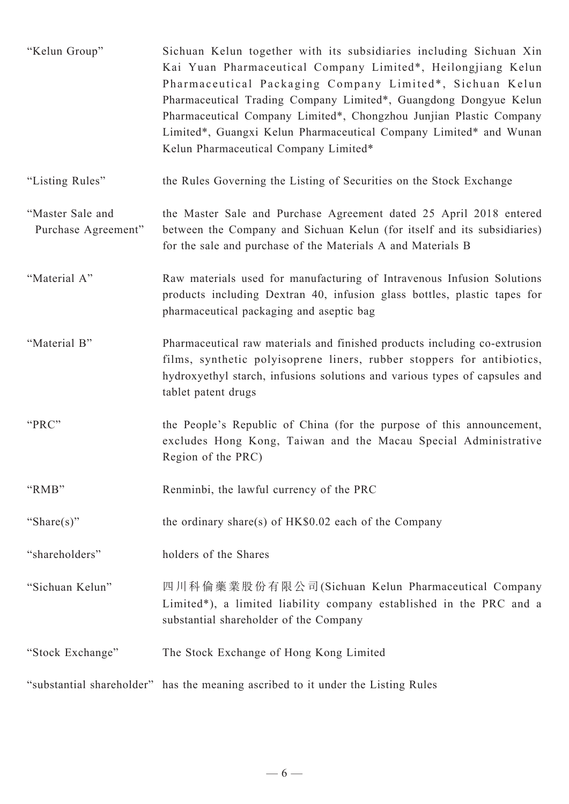| "Kelun Group"                           | Sichuan Kelun together with its subsidiaries including Sichuan Xin<br>Kai Yuan Pharmaceutical Company Limited*, Heilongjiang Kelun<br>Pharmaceutical Packaging Company Limited*, Sichuan Kelun<br>Pharmaceutical Trading Company Limited*, Guangdong Dongyue Kelun<br>Pharmaceutical Company Limited*, Chongzhou Junjian Plastic Company<br>Limited*, Guangxi Kelun Pharmaceutical Company Limited* and Wunan<br>Kelun Pharmaceutical Company Limited* |
|-----------------------------------------|--------------------------------------------------------------------------------------------------------------------------------------------------------------------------------------------------------------------------------------------------------------------------------------------------------------------------------------------------------------------------------------------------------------------------------------------------------|
| "Listing Rules"                         | the Rules Governing the Listing of Securities on the Stock Exchange                                                                                                                                                                                                                                                                                                                                                                                    |
| "Master Sale and<br>Purchase Agreement" | the Master Sale and Purchase Agreement dated 25 April 2018 entered<br>between the Company and Sichuan Kelun (for itself and its subsidiaries)<br>for the sale and purchase of the Materials A and Materials B                                                                                                                                                                                                                                          |
| "Material A"                            | Raw materials used for manufacturing of Intravenous Infusion Solutions<br>products including Dextran 40, infusion glass bottles, plastic tapes for<br>pharmaceutical packaging and aseptic bag                                                                                                                                                                                                                                                         |
| "Material B"                            | Pharmaceutical raw materials and finished products including co-extrusion<br>films, synthetic polyisoprene liners, rubber stoppers for antibiotics,<br>hydroxyethyl starch, infusions solutions and various types of capsules and<br>tablet patent drugs                                                                                                                                                                                               |
| "PRC"                                   | the People's Republic of China (for the purpose of this announcement,<br>excludes Hong Kong, Taiwan and the Macau Special Administrative<br>Region of the PRC)                                                                                                                                                                                                                                                                                         |
| "RMB"                                   | Renminbi, the lawful currency of the PRC                                                                                                                                                                                                                                                                                                                                                                                                               |
| "Share $(s)$ "                          | the ordinary share(s) of HK\$0.02 each of the Company                                                                                                                                                                                                                                                                                                                                                                                                  |
| "shareholders"                          | holders of the Shares                                                                                                                                                                                                                                                                                                                                                                                                                                  |
| "Sichuan Kelun"                         | 四川科倫藥業股份有限公司(Sichuan Kelun Pharmaceutical Company<br>Limited*), a limited liability company established in the PRC and a<br>substantial shareholder of the Company                                                                                                                                                                                                                                                                                     |
| "Stock Exchange"                        | The Stock Exchange of Hong Kong Limited                                                                                                                                                                                                                                                                                                                                                                                                                |
|                                         | "substantial shareholder" has the meaning ascribed to it under the Listing Rules                                                                                                                                                                                                                                                                                                                                                                       |